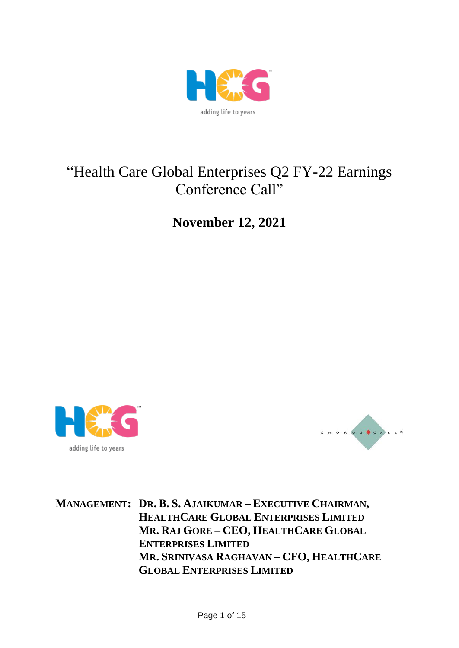

# "Health Care Global Enterprises Q2 FY-22 Earnings Conference Call"

**November 12, 2021**





**MANAGEMENT: DR. B. S. AJAIKUMAR – EXECUTIVE CHAIRMAN, HEALTHCARE GLOBAL ENTERPRISES LIMITED MR. RAJ GORE – CEO, HEALTHCARE GLOBAL ENTERPRISES LIMITED MR. SRINIVASA RAGHAVAN – CFO, HEALTHCARE GLOBAL ENTERPRISES LIMITED**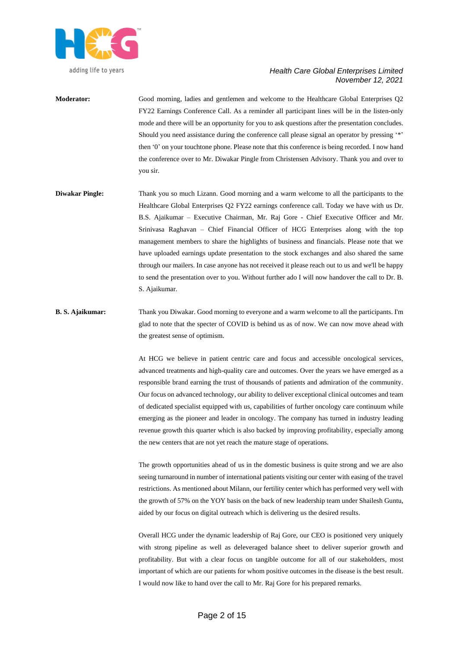

**Moderator:** Good morning, ladies and gentlemen and welcome to the Healthcare Global Enterprises Q2 FY22 Earnings Conference Call. As a reminder all participant lines will be in the listen-only mode and there will be an opportunity for you to ask questions after the presentation concludes. Should you need assistance during the conference call please signal an operator by pressing '\*' then '0' on your touchtone phone. Please note that this conference is being recorded. I now hand the conference over to Mr. Diwakar Pingle from Christensen Advisory. Thank you and over to you sir.

- **Diwakar Pingle:** Thank you so much Lizann. Good morning and a warm welcome to all the participants to the Healthcare Global Enterprises Q2 FY22 earnings conference call. Today we have with us Dr. B.S. Ajaikumar – Executive Chairman, Mr. Raj Gore - Chief Executive Officer and Mr. Srinivasa Raghavan – Chief Financial Officer of HCG Enterprises along with the top management members to share the highlights of business and financials. Please note that we have uploaded earnings update presentation to the stock exchanges and also shared the same through our mailers. In case anyone has not received it please reach out to us and we'll be happy to send the presentation over to you. Without further ado I will now handover the call to Dr. B. S. Ajaikumar.
- **B. S. Ajaikumar:** Thank you Diwakar. Good morning to everyone and a warm welcome to all the participants. I'm glad to note that the specter of COVID is behind us as of now. We can now move ahead with the greatest sense of optimism.

At HCG we believe in patient centric care and focus and accessible oncological services, advanced treatments and high-quality care and outcomes. Over the years we have emerged as a responsible brand earning the trust of thousands of patients and admiration of the community. Our focus on advanced technology, our ability to deliver exceptional clinical outcomes and team of dedicated specialist equipped with us, capabilities of further oncology care continuum while emerging as the pioneer and leader in oncology. The company has turned in industry leading revenue growth this quarter which is also backed by improving profitability, especially among the new centers that are not yet reach the mature stage of operations.

The growth opportunities ahead of us in the domestic business is quite strong and we are also seeing turnaround in number of international patients visiting our center with easing of the travel restrictions. As mentioned about Milann, our fertility center which has performed very well with the growth of 57% on the YOY basis on the back of new leadership team under Shailesh Guntu, aided by our focus on digital outreach which is delivering us the desired results.

Overall HCG under the dynamic leadership of Raj Gore, our CEO is positioned very uniquely with strong pipeline as well as deleveraged balance sheet to deliver superior growth and profitability. But with a clear focus on tangible outcome for all of our stakeholders, most important of which are our patients for whom positive outcomes in the disease is the best result. I would now like to hand over the call to Mr. Raj Gore for his prepared remarks.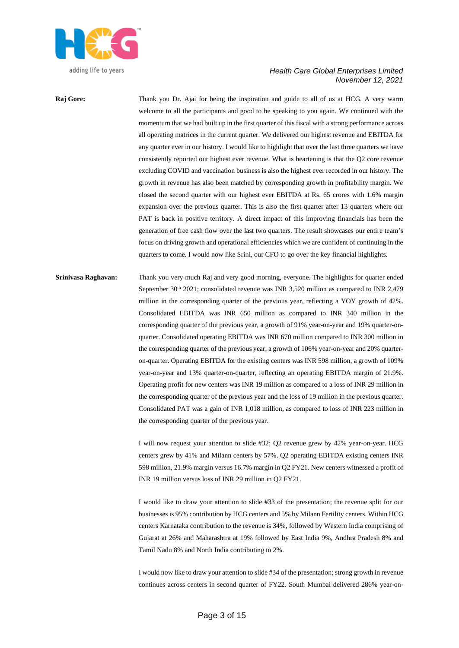

**Raj Gore:** Thank you Dr. Ajai for being the inspiration and guide to all of us at HCG. A very warm welcome to all the participants and good to be speaking to you again. We continued with the momentum that we had built up in the first quarter of this fiscal with a strong performance across all operating matrices in the current quarter. We delivered our highest revenue and EBITDA for any quarter ever in our history. I would like to highlight that over the last three quarters we have consistently reported our highest ever revenue. What is heartening is that the Q2 core revenue excluding COVID and vaccination business is also the highest ever recorded in our history. The growth in revenue has also been matched by corresponding growth in profitability margin. We closed the second quarter with our highest ever EBITDA at Rs. 65 crores with 1.6% margin expansion over the previous quarter. This is also the first quarter after 13 quarters where our PAT is back in positive territory. A direct impact of this improving financials has been the generation of free cash flow over the last two quarters. The result showcases our entire team's focus on driving growth and operational efficiencies which we are confident of continuing in the quarters to come. I would now like Srini, our CFO to go over the key financial highlights.

**Srinivasa Raghavan:** Thank you very much Raj and very good morning, everyone. The highlights for quarter ended September 30<sup>th</sup> 2021; consolidated revenue was INR 3,520 million as compared to INR 2,479 million in the corresponding quarter of the previous year, reflecting a YOY growth of 42%. Consolidated EBITDA was INR 650 million as compared to INR 340 million in the corresponding quarter of the previous year, a growth of 91% year-on-year and 19% quarter-onquarter. Consolidated operating EBITDA was INR 670 million compared to INR 300 million in the corresponding quarter of the previous year, a growth of 106% year-on-year and 20% quarteron-quarter. Operating EBITDA for the existing centers was INR 598 million, a growth of 109% year-on-year and 13% quarter-on-quarter, reflecting an operating EBITDA margin of 21.9%. Operating profit for new centers was INR 19 million as compared to a loss of INR 29 million in the corresponding quarter of the previous year and the loss of 19 million in the previous quarter. Consolidated PAT was a gain of INR 1,018 million, as compared to loss of INR 223 million in the corresponding quarter of the previous year.

> I will now request your attention to slide #32; Q2 revenue grew by 42% year-on-year. HCG centers grew by 41% and Milann centers by 57%. Q2 operating EBITDA existing centers INR 598 million, 21.9% margin versus 16.7% margin in Q2 FY21. New centers witnessed a profit of INR 19 million versus loss of INR 29 million in Q2 FY21.

> I would like to draw your attention to slide #33 of the presentation; the revenue split for our businesses is 95% contribution by HCG centers and 5% by Milann Fertility centers. Within HCG centers Karnataka contribution to the revenue is 34%, followed by Western India comprising of Gujarat at 26% and Maharashtra at 19% followed by East India 9%, Andhra Pradesh 8% and Tamil Nadu 8% and North India contributing to 2%.

> I would now like to draw your attention to slide #34 of the presentation; strong growth in revenue continues across centers in second quarter of FY22. South Mumbai delivered 286% year-on-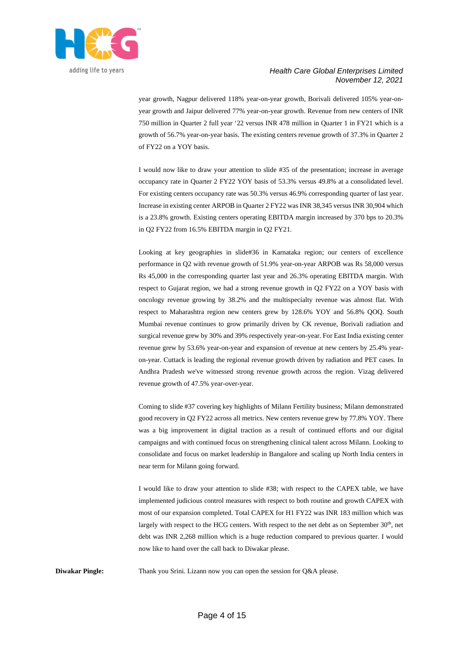

year growth, Nagpur delivered 118% year-on-year growth, Borivali delivered 105% year-onyear growth and Jaipur delivered 77% year-on-year growth. Revenue from new centers of INR 750 million in Quarter 2 full year '22 versus INR 478 million in Quarter 1 in FY21 which is a growth of 56.7% year-on-year basis. The existing centers revenue growth of 37.3% in Quarter 2 of FY22 on a YOY basis.

I would now like to draw your attention to slide #35 of the presentation; increase in average occupancy rate in Quarter 2 FY22 YOY basis of 53.3% versus 49.8% at a consolidated level. For existing centers occupancy rate was 50.3% versus 46.9% corresponding quarter of last year. Increase in existing center ARPOB in Quarter 2 FY22 was INR 38,345 versus INR 30,904 which is a 23.8% growth. Existing centers operating EBITDA margin increased by 370 bps to 20.3% in Q2 FY22 from 16.5% EBITDA margin in Q2 FY21.

Looking at key geographies in slide#36 in Karnataka region; our centers of excellence performance in Q2 with revenue growth of 51.9% year-on-year ARPOB was Rs 58,000 versus Rs 45,000 in the corresponding quarter last year and 26.3% operating EBITDA margin. With respect to Gujarat region, we had a strong revenue growth in Q2 FY22 on a YOY basis with oncology revenue growing by 38.2% and the multispecialty revenue was almost flat. With respect to Maharashtra region new centers grew by 128.6% YOY and 56.8% QOQ. South Mumbai revenue continues to grow primarily driven by CK revenue, Borivali radiation and surgical revenue grew by 30% and 39% respectively year-on-year. For East India existing center revenue grew by 53.6% year-on-year and expansion of revenue at new centers by 25.4% yearon-year. Cuttack is leading the regional revenue growth driven by radiation and PET cases. In Andhra Pradesh we've witnessed strong revenue growth across the region. Vizag delivered revenue growth of 47.5% year-over-year.

Coming to slide #37 covering key highlights of Milann Fertility business; Milann demonstrated good recovery in Q2 FY22 across all metrics. New centers revenue grew by 77.8% YOY. There was a big improvement in digital traction as a result of continued efforts and our digital campaigns and with continued focus on strengthening clinical talent across Milann. Looking to consolidate and focus on market leadership in Bangalore and scaling up North India centers in near term for Milann going forward.

I would like to draw your attention to slide #38; with respect to the CAPEX table, we have implemented judicious control measures with respect to both routine and growth CAPEX with most of our expansion completed. Total CAPEX for H1 FY22 was INR 183 million which was largely with respect to the HCG centers. With respect to the net debt as on September  $30<sup>th</sup>$ , net debt was INR 2,268 million which is a huge reduction compared to previous quarter. I would now like to hand over the call back to Diwakar please.

**Diwakar Pingle:** Thank you Srini. Lizann now you can open the session for Q&A please.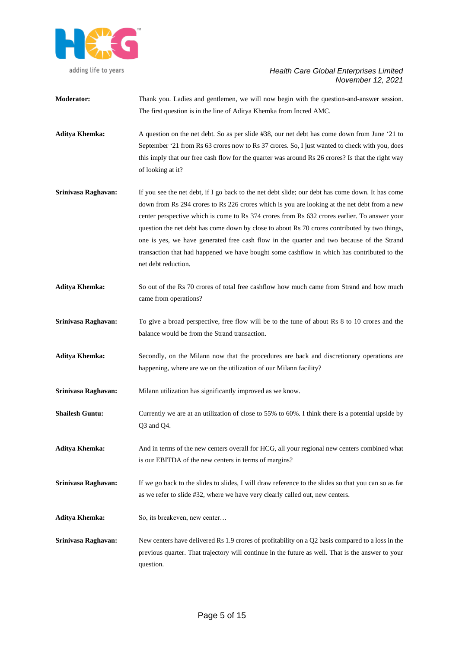

|                        | The first question is in the line of Aditya Khemka from Incred AMC.                                                                                                                                                                                                                                                                                                                                                                                                                                                                                                                                                 |
|------------------------|---------------------------------------------------------------------------------------------------------------------------------------------------------------------------------------------------------------------------------------------------------------------------------------------------------------------------------------------------------------------------------------------------------------------------------------------------------------------------------------------------------------------------------------------------------------------------------------------------------------------|
| <b>Aditya Khemka:</b>  | A question on the net debt. So as per slide #38, our net debt has come down from June '21 to<br>September '21 from Rs 63 crores now to Rs 37 crores. So, I just wanted to check with you, does<br>this imply that our free cash flow for the quarter was around Rs 26 crores? Is that the right way<br>of looking at it?                                                                                                                                                                                                                                                                                            |
| Srinivasa Raghavan:    | If you see the net debt, if I go back to the net debt slide; our debt has come down. It has come<br>down from Rs 294 crores to Rs 226 crores which is you are looking at the net debt from a new<br>center perspective which is come to Rs 374 crores from Rs 632 crores earlier. To answer your<br>question the net debt has come down by close to about Rs 70 crores contributed by two things,<br>one is yes, we have generated free cash flow in the quarter and two because of the Strand<br>transaction that had happened we have bought some cashflow in which has contributed to the<br>net debt reduction. |
| <b>Aditya Khemka:</b>  | So out of the Rs 70 crores of total free cashflow how much came from Strand and how much<br>came from operations?                                                                                                                                                                                                                                                                                                                                                                                                                                                                                                   |
| Srinivasa Raghavan:    | To give a broad perspective, free flow will be to the tune of about Rs 8 to 10 crores and the<br>balance would be from the Strand transaction.                                                                                                                                                                                                                                                                                                                                                                                                                                                                      |
| <b>Aditya Khemka:</b>  | Secondly, on the Milann now that the procedures are back and discretionary operations are<br>happening, where are we on the utilization of our Milann facility?                                                                                                                                                                                                                                                                                                                                                                                                                                                     |
| Srinivasa Raghavan:    | Milann utilization has significantly improved as we know.                                                                                                                                                                                                                                                                                                                                                                                                                                                                                                                                                           |
| <b>Shailesh Guntu:</b> | Currently we are at an utilization of close to 55% to 60%. I think there is a potential upside by<br>$Q3$ and $Q4$ .                                                                                                                                                                                                                                                                                                                                                                                                                                                                                                |
| <b>Aditya Khemka:</b>  | And in terms of the new centers overall for HCG, all your regional new centers combined what<br>is our EBITDA of the new centers in terms of margins?                                                                                                                                                                                                                                                                                                                                                                                                                                                               |
| Srinivasa Raghavan:    | If we go back to the slides to slides, I will draw reference to the slides so that you can so as far<br>as we refer to slide #32, where we have very clearly called out, new centers.                                                                                                                                                                                                                                                                                                                                                                                                                               |
| <b>Aditya Khemka:</b>  | So, its breakeven, new center                                                                                                                                                                                                                                                                                                                                                                                                                                                                                                                                                                                       |
| Srinivasa Raghavan:    | New centers have delivered Rs 1.9 crores of profitability on a Q2 basis compared to a loss in the<br>previous quarter. That trajectory will continue in the future as well. That is the answer to your<br>question.                                                                                                                                                                                                                                                                                                                                                                                                 |

**Moderator:** Thank you. Ladies and gentlemen, we will now begin with the question-and-answer session.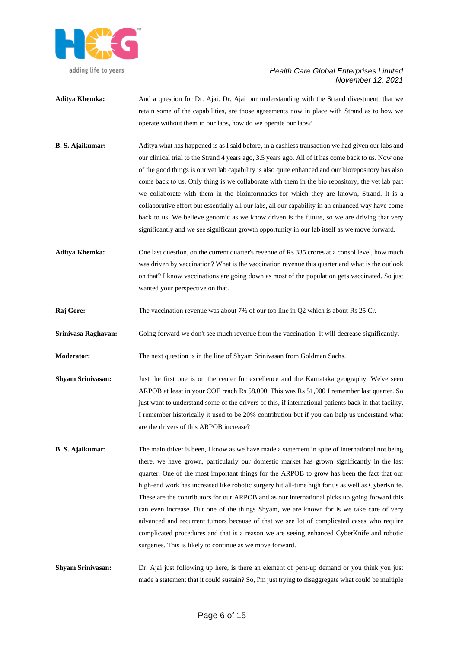

- **Aditya Khemka:** And a question for Dr. Ajai. Dr. Ajai our understanding with the Strand divestment, that we retain some of the capabilities, are those agreements now in place with Strand as to how we operate without them in our labs, how do we operate our labs?
- **B. S. Ajaikumar:** Aditya what has happened is as I said before, in a cashless transaction we had given our labs and our clinical trial to the Strand 4 years ago, 3.5 years ago. All of it has come back to us. Now one of the good things is our vet lab capability is also quite enhanced and our biorepository has also come back to us. Only thing is we collaborate with them in the bio repository, the vet lab part we collaborate with them in the bioinformatics for which they are known, Strand. It is a collaborative effort but essentially all our labs, all our capability in an enhanced way have come back to us. We believe genomic as we know driven is the future, so we are driving that very significantly and we see significant growth opportunity in our lab itself as we move forward.
- Aditya Khemka: One last question, on the current quarter's revenue of Rs 335 crores at a consol level, how much was driven by vaccination? What is the vaccination revenue this quarter and what is the outlook on that? I know vaccinations are going down as most of the population gets vaccinated. So just wanted your perspective on that.
- **Raj Gore:** The vaccination revenue was about 7% of our top line in Q2 which is about Rs 25 Cr.
- **Srinivasa Raghavan:** Going forward we don't see much revenue from the vaccination. It will decrease significantly.
- **Moderator:** The next question is in the line of Shyam Srinivasan from Goldman Sachs.
- **Shyam Srinivasan:** Just the first one is on the center for excellence and the Karnataka geography. We've seen ARPOB at least in your COE reach Rs 58,000. This was Rs 51,000 I remember last quarter. So just want to understand some of the drivers of this, if international patients back in that facility. I remember historically it used to be 20% contribution but if you can help us understand what are the drivers of this ARPOB increase?
- **B.** S. Ajaikumar: The main driver is been, I know as we have made a statement in spite of international not being there, we have grown, particularly our domestic market has grown significantly in the last quarter. One of the most important things for the ARPOB to grow has been the fact that our high-end work has increased like robotic surgery hit all-time high for us as well as CyberKnife. These are the contributors for our ARPOB and as our international picks up going forward this can even increase. But one of the things Shyam, we are known for is we take care of very advanced and recurrent tumors because of that we see lot of complicated cases who require complicated procedures and that is a reason we are seeing enhanced CyberKnife and robotic surgeries. This is likely to continue as we move forward.
- **Shyam Srinivasan:** Dr. Ajai just following up here, is there an element of pent-up demand or you think you just made a statement that it could sustain? So, I'm just trying to disaggregate what could be multiple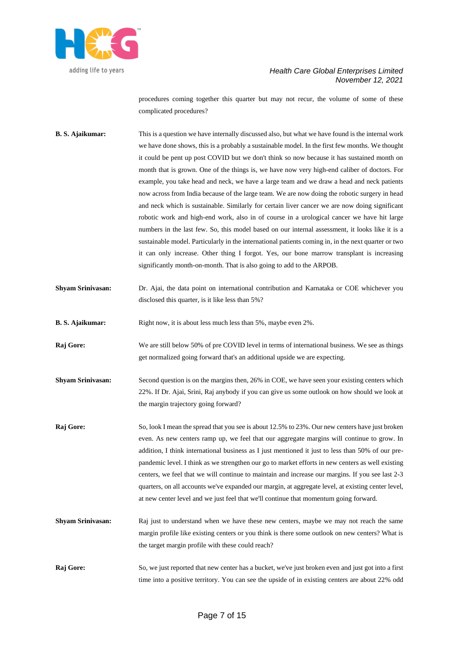

procedures coming together this quarter but may not recur, the volume of some of these complicated procedures?

- **B. S. Ajaikumar:** This is a question we have internally discussed also, but what we have found is the internal work we have done shows, this is a probably a sustainable model. In the first few months. We thought it could be pent up post COVID but we don't think so now because it has sustained month on month that is grown. One of the things is, we have now very high-end caliber of doctors. For example, you take head and neck, we have a large team and we draw a head and neck patients now across from India because of the large team. We are now doing the robotic surgery in head and neck which is sustainable. Similarly for certain liver cancer we are now doing significant robotic work and high-end work, also in of course in a urological cancer we have hit large numbers in the last few. So, this model based on our internal assessment, it looks like it is a sustainable model. Particularly in the international patients coming in, in the next quarter or two it can only increase. Other thing I forgot. Yes, our bone marrow transplant is increasing significantly month-on-month. That is also going to add to the ARPOB.
- **Shyam Srinivasan:** Dr. Ajai, the data point on international contribution and Karnataka or COE whichever you disclosed this quarter, is it like less than 5%?
- **B. S. Ajaikumar:** Right now, it is about less much less than 5%, maybe even 2%.
- **Raj Gore:** We are still below 50% of pre COVID level in terms of international business. We see as things get normalized going forward that's an additional upside we are expecting.
- **Shyam Srinivasan:** Second question is on the margins then, 26% in COE, we have seen your existing centers which 22%. If Dr. Ajai, Srini, Raj anybody if you can give us some outlook on how should we look at the margin trajectory going forward?
- **Raj Gore:** So, look I mean the spread that you see is about 12.5% to 23%. Our new centers have just broken even. As new centers ramp up, we feel that our aggregate margins will continue to grow. In addition, I think international business as I just mentioned it just to less than 50% of our prepandemic level. I think as we strengthen our go to market efforts in new centers as well existing centers, we feel that we will continue to maintain and increase our margins. If you see last 2-3 quarters, on all accounts we've expanded our margin, at aggregate level, at existing center level, at new center level and we just feel that we'll continue that momentum going forward.
- **Shyam Srinivasan:** Raj just to understand when we have these new centers, maybe we may not reach the same margin profile like existing centers or you think is there some outlook on new centers? What is the target margin profile with these could reach?
- **Raj Gore:** So, we just reported that new center has a bucket, we've just broken even and just got into a first time into a positive territory. You can see the upside of in existing centers are about 22% odd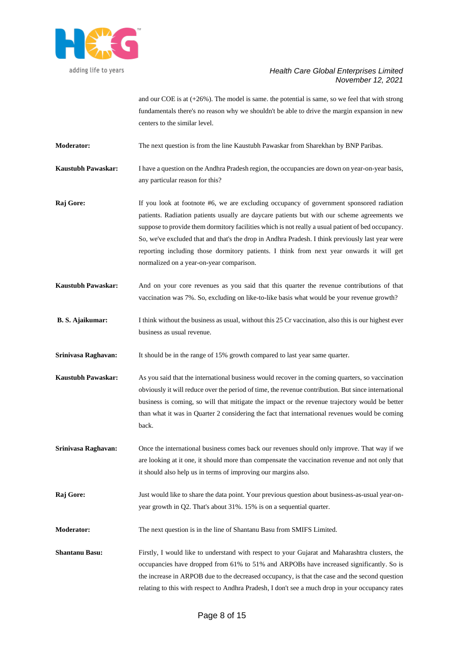

and our COE is at  $(+26%)$ . The model is same, the potential is same, so we feel that with strong fundamentals there's no reason why we shouldn't be able to drive the margin expansion in new centers to the similar level.

**Moderator:** The next question is from the line Kaustubh Pawaskar from Sharekhan by BNP Paribas.

**Kaustubh Pawaskar:** I have a question on the Andhra Pradesh region, the occupancies are down on year-on-year basis, any particular reason for this?

**Raj Gore:** If you look at footnote #6, we are excluding occupancy of government sponsored radiation patients. Radiation patients usually are daycare patients but with our scheme agreements we suppose to provide them dormitory facilities which is not really a usual patient of bed occupancy. So, we've excluded that and that's the drop in Andhra Pradesh. I think previously last year were reporting including those dormitory patients. I think from next year onwards it will get normalized on a year-on-year comparison.

- **Kaustubh Pawaskar:** And on your core revenues as you said that this quarter the revenue contributions of that vaccination was 7%. So, excluding on like-to-like basis what would be your revenue growth?
- **B.** S. Ajaikumar: I think without the business as usual, without this 25 Cr vaccination, also this is our highest ever business as usual revenue.

**Srinivasa Raghavan:** It should be in the range of 15% growth compared to last year same quarter.

- **Kaustubh Pawaskar:** As you said that the international business would recover in the coming quarters, so vaccination obviously it will reduce over the period of time, the revenue contribution. But since international business is coming, so will that mitigate the impact or the revenue trajectory would be better than what it was in Quarter 2 considering the fact that international revenues would be coming back.
- **Srinivasa Raghavan:** Once the international business comes back our revenues should only improve. That way if we are looking at it one, it should more than compensate the vaccination revenue and not only that it should also help us in terms of improving our margins also.
- **Raj Gore:** Just would like to share the data point. Your previous question about business-as-usual year-onyear growth in Q2. That's about 31%. 15% is on a sequential quarter.

**Moderator:** The next question is in the line of Shantanu Basu from SMIFS Limited.

**Shantanu Basu:** Firstly, I would like to understand with respect to your Gujarat and Maharashtra clusters, the occupancies have dropped from 61% to 51% and ARPOBs have increased significantly. So is the increase in ARPOB due to the decreased occupancy, is that the case and the second question relating to this with respect to Andhra Pradesh, I don't see a much drop in your occupancy rates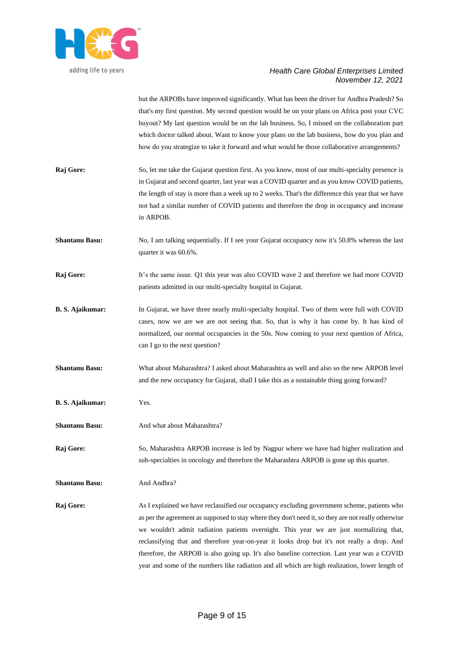

but the ARPOBs have improved significantly. What has been the driver for Andhra Pradesh? So that's my first question. My second question would be on your plans on Africa post your CVC buyout? My last question would be on the lab business. So, I missed on the collaboration part which doctor talked about. Want to know your plans on the lab business, how do you plan and how do you strategize to take it forward and what would be those collaborative arrangements?

- **Raj Gore:** So, let me take the Gujarat question first. As you know, most of our multi-specialty presence is in Gujarat and second quarter, last year was a COVID quarter and as you know COVID patients, the length of stay is more than a week up to 2 weeks. That's the difference this year that we have not had a similar number of COVID patients and therefore the drop in occupancy and increase in ARPOB.
- **Shantanu Basu:** No, I am talking sequentially. If I see your Gujarat occupancy now it's 50.8% whereas the last quarter it was 60.6%.
- **Raj Gore:** It's the same issue. Q1 this year was also COVID wave 2 and therefore we had more COVID patients admitted in our multi-specialty hospital in Gujarat.
- **B. S. Ajaikumar:** In Gujarat, we have three nearly multi-specialty hospital. Two of them were full with COVID cases, now we are we are not seeing that. So, that is why it has come by. It has kind of normalized, our normal occupancies in the 50s. Now coming to your next question of Africa, can I go to the next question?
- **Shantanu Basu:** What about Maharashtra? I asked about Maharashtra as well and also so the new ARPOB level and the new occupancy for Gujarat, shall I take this as a sustainable thing going forward?
- **B. S. Ajaikumar:** Yes.
- **Shantanu Basu:** And what about Maharashtra?

**Raj Gore:** So, Maharashtra ARPOB increase is led by Nagpur where we have had higher realization and sub-specialties in oncology and therefore the Maharashtra ARPOB is gone up this quarter.

**Shantanu Basu:** And Andhra?

**Raj Gore:** As I explained we have reclassified our occupancy excluding government scheme, patients who as per the agreement as supposed to stay where they don't need it, so they are not really otherwise we wouldn't admit radiation patients overnight. This year we are just normalizing that, reclassifying that and therefore year-on-year it looks drop but it's not really a drop. And therefore, the ARPOB is also going up. It's also baseline correction. Last year was a COVID year and some of the numbers like radiation and all which are high realization, lower length of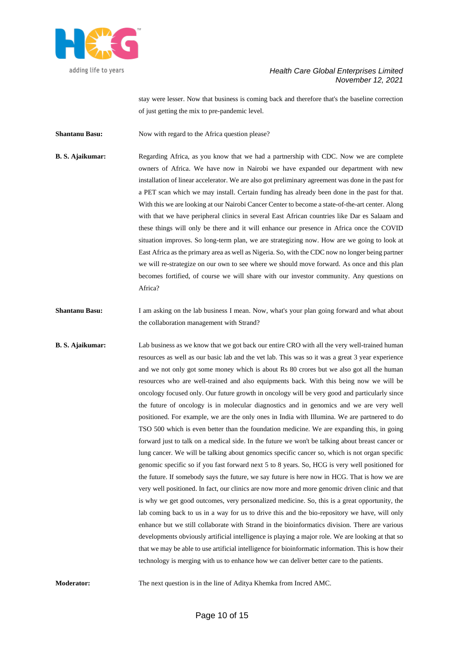

stay were lesser. Now that business is coming back and therefore that's the baseline correction of just getting the mix to pre-pandemic level.

**Shantanu Basu:** Now with regard to the Africa question please?

**B. S. Ajaikumar:** Regarding Africa, as you know that we had a partnership with CDC. Now we are complete owners of Africa. We have now in Nairobi we have expanded our department with new installation of linear accelerator. We are also got preliminary agreement was done in the past for a PET scan which we may install. Certain funding has already been done in the past for that. With this we are looking at our Nairobi Cancer Center to become a state-of-the-art center. Along with that we have peripheral clinics in several East African countries like Dar es Salaam and these things will only be there and it will enhance our presence in Africa once the COVID situation improves. So long-term plan, we are strategizing now. How are we going to look at East Africa as the primary area as well as Nigeria. So, with the CDC now no longer being partner we will re-strategize on our own to see where we should move forward. As once and this plan becomes fortified, of course we will share with our investor community. Any questions on Africa?

**Shantanu Basu:** I am asking on the lab business I mean. Now, what's your plan going forward and what about the collaboration management with Strand?

**B. S. Ajaikumar:** Lab business as we know that we got back our entire CRO with all the very well-trained human resources as well as our basic lab and the vet lab. This was so it was a great 3 year experience and we not only got some money which is about Rs 80 crores but we also got all the human resources who are well-trained and also equipments back. With this being now we will be oncology focused only. Our future growth in oncology will be very good and particularly since the future of oncology is in molecular diagnostics and in genomics and we are very well positioned. For example, we are the only ones in India with Illumina. We are partnered to do TSO 500 which is even better than the foundation medicine. We are expanding this, in going forward just to talk on a medical side. In the future we won't be talking about breast cancer or lung cancer. We will be talking about genomics specific cancer so, which is not organ specific genomic specific so if you fast forward next 5 to 8 years. So, HCG is very well positioned for the future. If somebody says the future, we say future is here now in HCG. That is how we are very well positioned. In fact, our clinics are now more and more genomic driven clinic and that is why we get good outcomes, very personalized medicine. So, this is a great opportunity, the lab coming back to us in a way for us to drive this and the bio-repository we have, will only enhance but we still collaborate with Strand in the bioinformatics division. There are various developments obviously artificial intelligence is playing a major role. We are looking at that so that we may be able to use artificial intelligence for bioinformatic information. This is how their technology is merging with us to enhance how we can deliver better care to the patients.

**Moderator:** The next question is in the line of Aditya Khemka from Incred AMC.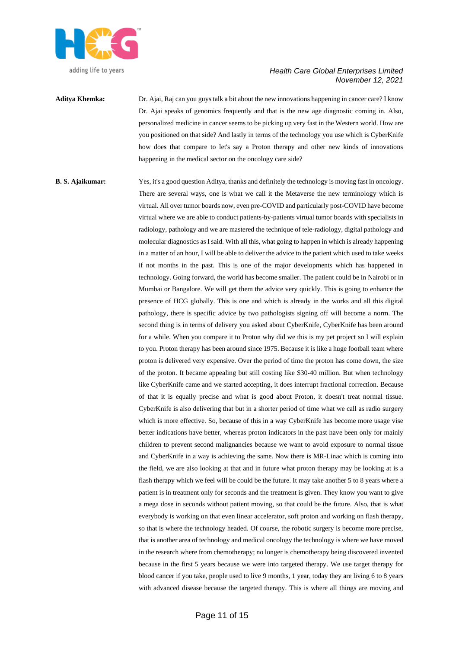

## **Aditya Khemka:** Dr. Ajai, Raj can you guys talk a bit about the new innovations happening in cancer care? I know Dr. Ajai speaks of genomics frequently and that is the new age diagnostic coming in. Also, personalized medicine in cancer seems to be picking up very fast in the Western world. How are you positioned on that side? And lastly in terms of the technology you use which is CyberKnife how does that compare to let's say a Proton therapy and other new kinds of innovations happening in the medical sector on the oncology care side?

**B. S. Ajaikumar:** Yes, it's a good question Aditya, thanks and definitely the technology is moving fast in oncology. There are several ways, one is what we call it the Metaverse the new terminology which is virtual. All over tumor boards now, even pre-COVID and particularly post-COVID have become virtual where we are able to conduct patients-by-patients virtual tumor boards with specialists in radiology, pathology and we are mastered the technique of tele-radiology, digital pathology and molecular diagnostics as I said. With all this, what going to happen in which is already happening in a matter of an hour, I will be able to deliver the advice to the patient which used to take weeks if not months in the past. This is one of the major developments which has happened in technology. Going forward, the world has become smaller. The patient could be in Nairobi or in Mumbai or Bangalore. We will get them the advice very quickly. This is going to enhance the presence of HCG globally. This is one and which is already in the works and all this digital pathology, there is specific advice by two pathologists signing off will become a norm. The second thing is in terms of delivery you asked about CyberKnife, CyberKnife has been around for a while. When you compare it to Proton why did we this is my pet project so I will explain to you. Proton therapy has been around since 1975. Because it is like a huge football team where proton is delivered very expensive. Over the period of time the proton has come down, the size of the proton. It became appealing but still costing like \$30-40 million. But when technology like CyberKnife came and we started accepting, it does interrupt fractional correction. Because of that it is equally precise and what is good about Proton, it doesn't treat normal tissue. CyberKnife is also delivering that but in a shorter period of time what we call as radio surgery which is more effective. So, because of this in a way CyberKnife has become more usage vise better indications have better, whereas proton indicators in the past have been only for mainly children to prevent second malignancies because we want to avoid exposure to normal tissue and CyberKnife in a way is achieving the same. Now there is MR-Linac which is coming into the field, we are also looking at that and in future what proton therapy may be looking at is a flash therapy which we feel will be could be the future. It may take another 5 to 8 years where a patient is in treatment only for seconds and the treatment is given. They know you want to give a mega dose in seconds without patient moving, so that could be the future. Also, that is what everybody is working on that even linear accelerator, soft proton and working on flash therapy, so that is where the technology headed. Of course, the robotic surgery is become more precise, that is another area of technology and medical oncology the technology is where we have moved in the research where from chemotherapy; no longer is chemotherapy being discovered invented because in the first 5 years because we were into targeted therapy. We use target therapy for blood cancer if you take, people used to live 9 months, 1 year, today they are living 6 to 8 years with advanced disease because the targeted therapy. This is where all things are moving and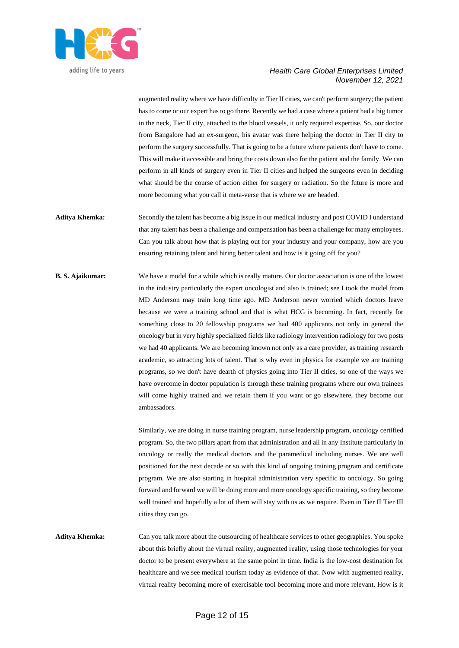

augmented reality where we have difficulty in Tier II cities, we can't perform surgery; the patient has to come or our expert has to go there. Recently we had a case where a patient had a big tumor in the neck, Tier II city, attached to the blood vessels, it only required expertise. So, our doctor from Bangalore had an ex-surgeon, his avatar was there helping the doctor in Tier II city to perform the surgery successfully. That is going to be a future where patients don't have to come. This will make it accessible and bring the costs down also for the patient and the family. We can perform in all kinds of surgery even in Tier II cities and helped the surgeons even in deciding what should be the course of action either for surgery or radiation. So the future is more and more becoming what you call it meta-verse that is where we are headed.

- **Aditya Khemka:** Secondly the talent has become a big issue in our medical industry and post COVID I understand that any talent has been a challenge and compensation has been a challenge for many employees. Can you talk about how that is playing out for your industry and your company, how are you ensuring retaining talent and hiring better talent and how is it going off for you?
- **B. S. Ajaikumar:** We have a model for a while which is really mature. Our doctor association is one of the lowest in the industry particularly the expert oncologist and also is trained; see I took the model from MD Anderson may train long time ago. MD Anderson never worried which doctors leave because we were a training school and that is what HCG is becoming. In fact, recently for something close to 20 fellowship programs we had 400 applicants not only in general the oncology but in very highly specialized fields like radiology intervention radiology for two posts we had 40 applicants. We are becoming known not only as a care provider, as training research academic, so attracting lots of talent. That is why even in physics for example we are training programs, so we don't have dearth of physics going into Tier II cities, so one of the ways we have overcome in doctor population is through these training programs where our own trainees will come highly trained and we retain them if you want or go elsewhere, they become our ambassadors.

Similarly, we are doing in nurse training program, nurse leadership program, oncology certified program. So, the two pillars apart from that administration and all in any Institute particularly in oncology or really the medical doctors and the paramedical including nurses. We are well positioned for the next decade or so with this kind of ongoing training program and certificate program. We are also starting in hospital administration very specific to oncology. So going forward and forward we will be doing more and more oncology specific training, so they become well trained and hopefully a lot of them will stay with us as we require. Even in Tier II Tier III cities they can go.

**Aditya Khemka:** Can you talk more about the outsourcing of healthcare services to other geographies. You spoke about this briefly about the virtual reality, augmented reality, using those technologies for your doctor to be present everywhere at the same point in time. India is the low-cost destination for healthcare and we see medical tourism today as evidence of that. Now with augmented reality, virtual reality becoming more of exercisable tool becoming more and more relevant. How is it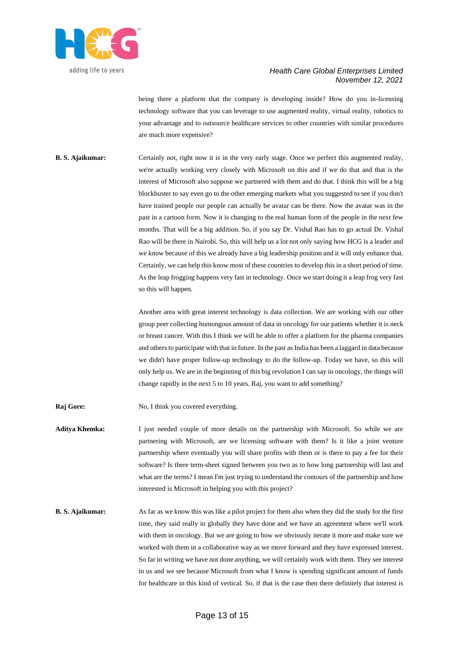

being there a platform that the company is developing inside? How do you in-licensing technology software that you can leverage to use augmented reality, virtual reality, robotics to your advantage and to outsource healthcare services to other countries with similar procedures are much more expensive?

**B. S. Ajaikumar:** Certainly not, right now it is in the very early stage. Once we perfect this augmented reality, we're actually working very closely with Microsoft on this and if we do that and that is the interest of Microsoft also suppose we partnered with them and do that. I think this will be a big blockbuster to say even go to the other emerging markets what you suggested to see if you don't have trained people our people can actually be avatar can be there. Now the avatar was in the past in a cartoon form. Now it is changing to the real human form of the people in the next few months. That will be a big addition. So, if you say Dr. Vishal Rao has to go actual Dr. Vishal Rao will be there in Nairobi. So, this will help us a lot not only saying how HCG is a leader and we know because of this we already have a big leadership position and it will only enhance that. Certainly, we can help this know most of these countries to develop this in a short period of time. As the leap frogging happens very fast in technology. Once we start doing it a leap frog very fast so this will happen.

> Another area with great interest technology is data collection. We are working with our other group peer collecting humongous amount of data in oncology for our patients whether it is neck or breast cancer. With this I think we will be able to offer a platform for the pharma companies and others to participate with that in future. In the past as India has been a laggard in data because we didn't have proper follow-up technology to do the follow-up. Today we have, so this will only help us. We are in the beginning of this big revolution I can say in oncology, the things will change rapidly in the next 5 to 10 years. Raj, you want to add something?

- **Raj Gore:** No, I think you covered everything.
- **Aditya Khemka:** I just needed couple of more details on the partnership with Microsoft. So while we are partnering with Microsoft, are we licensing software with them? Is it like a joint venture partnership where eventually you will share profits with them or is there to pay a fee for their software? Is there term-sheet signed between you two as to how long partnership will last and what are the terms? I mean I'm just trying to understand the contours of the partnership and how interested is Microsoft in helping you with this project?
- **B. S. Ajaikumar:** As far as we know this was like a pilot project for them also when they did the study for the first time, they said really in globally they have done and we have an agreement where we'll work with them in oncology. But we are going to how we obviously iterate it more and make sure we worked with them in a collaborative way as we move forward and they have expressed interest. So far in writing we have not done anything, we will certainly work with them. They see interest in us and we see because Microsoft from what I know is spending significant amount of funds for healthcare in this kind of vertical. So, if that is the case then there definitely that interest is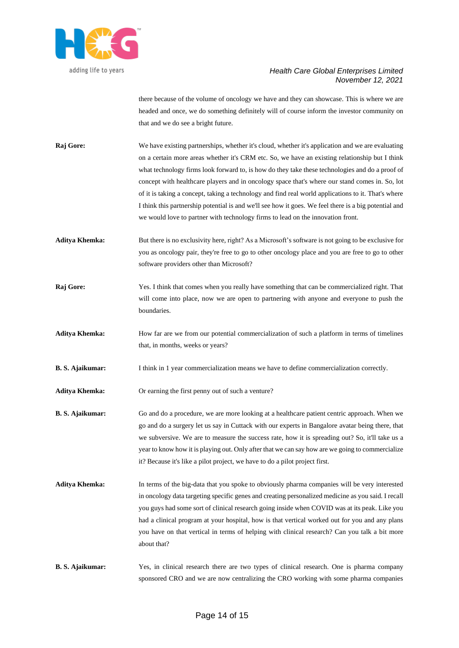

there because of the volume of oncology we have and they can showcase. This is where we are headed and once, we do something definitely will of course inform the investor community on that and we do see a bright future.

**Raj Gore:** We have existing partnerships, whether it's cloud, whether it's application and we are evaluating on a certain more areas whether it's CRM etc. So, we have an existing relationship but I think what technology firms look forward to, is how do they take these technologies and do a proof of concept with healthcare players and in oncology space that's where our stand comes in. So, lot of it is taking a concept, taking a technology and find real world applications to it. That's where I think this partnership potential is and we'll see how it goes. We feel there is a big potential and we would love to partner with technology firms to lead on the innovation front.

**Aditya Khemka:** But there is no exclusivity here, right? As a Microsoft's software is not going to be exclusive for you as oncology pair, they're free to go to other oncology place and you are free to go to other software providers other than Microsoft?

**Raj Gore:** Yes. I think that comes when you really have something that can be commercialized right. That will come into place, now we are open to partnering with anyone and everyone to push the boundaries.

**Aditya Khemka:** How far are we from our potential commercialization of such a platform in terms of timelines that, in months, weeks or years?

**B. S. Ajaikumar:** I think in 1 year commercialization means we have to define commercialization correctly.

**Aditya Khemka:** Or earning the first penny out of such a venture?

**B. S. Ajaikumar:** Go and do a procedure, we are more looking at a healthcare patient centric approach. When we go and do a surgery let us say in Cuttack with our experts in Bangalore avatar being there, that we subversive. We are to measure the success rate, how it is spreading out? So, it'll take us a year to know how it is playing out. Only after that we can say how are we going to commercialize it? Because it's like a pilot project, we have to do a pilot project first.

**Aditya Khemka:** In terms of the big-data that you spoke to obviously pharma companies will be very interested in oncology data targeting specific genes and creating personalized medicine as you said. I recall you guys had some sort of clinical research going inside when COVID was at its peak. Like you had a clinical program at your hospital, how is that vertical worked out for you and any plans you have on that vertical in terms of helping with clinical research? Can you talk a bit more about that?

**B. S. Ajaikumar:** Yes, in clinical research there are two types of clinical research. One is pharma company sponsored CRO and we are now centralizing the CRO working with some pharma companies